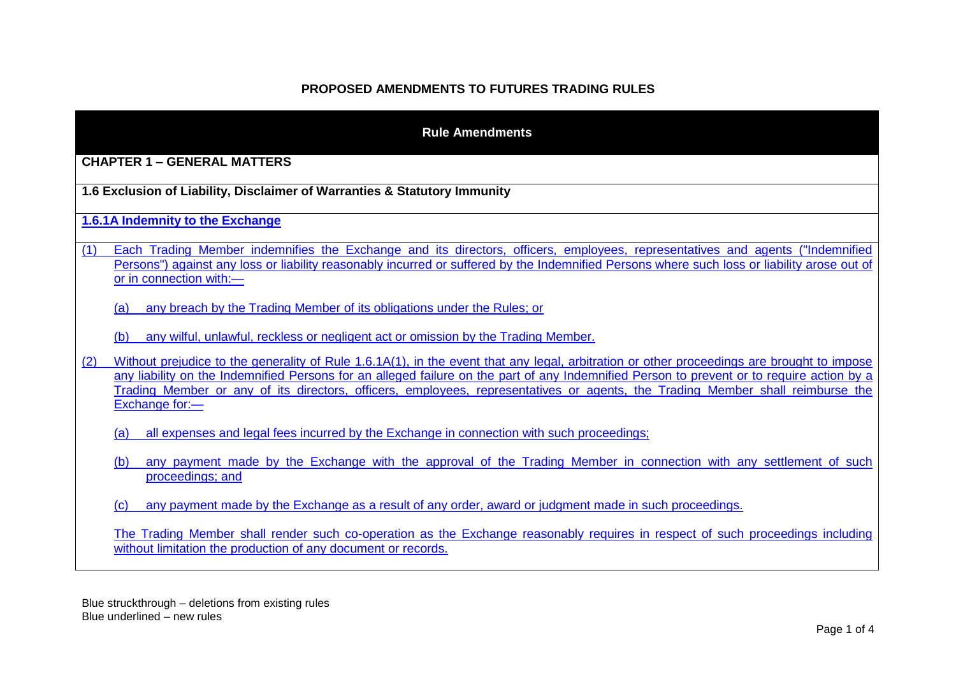## **PROPOSED AMENDMENTS TO FUTURES TRADING RULES**

| <b>Rule Amendments</b>                                                                                                                                                                                                                                                                                                                                                                                                                              |  |  |
|-----------------------------------------------------------------------------------------------------------------------------------------------------------------------------------------------------------------------------------------------------------------------------------------------------------------------------------------------------------------------------------------------------------------------------------------------------|--|--|
| <b>CHAPTER 1 - GENERAL MATTERS</b>                                                                                                                                                                                                                                                                                                                                                                                                                  |  |  |
| 1.6 Exclusion of Liability, Disclaimer of Warranties & Statutory Immunity                                                                                                                                                                                                                                                                                                                                                                           |  |  |
| <b>1.6.1A Indemnity to the Exchange</b>                                                                                                                                                                                                                                                                                                                                                                                                             |  |  |
| Each Trading Member indemnifies the Exchange and its directors, officers, employees, representatives and agents ("Indemnified<br>(1)<br>Persons") against any loss or liability reasonably incurred or suffered by the Indemnified Persons where such loss or liability arose out of<br>or in connection with:-                                                                                                                                     |  |  |
| any breach by the Trading Member of its obligations under the Rules; or<br>(a)                                                                                                                                                                                                                                                                                                                                                                      |  |  |
| any wilful, unlawful, reckless or negligent act or omission by the Trading Member.<br>(b)                                                                                                                                                                                                                                                                                                                                                           |  |  |
| Without prejudice to the generality of Rule 1.6.1A(1), in the event that any legal, arbitration or other proceedings are brought to impose<br>(2)<br>any liability on the Indemnified Persons for an alleged failure on the part of any Indemnified Person to prevent or to require action by a<br>Trading Member or any of its directors, officers, employees, representatives or agents, the Trading Member shall reimburse the<br>Exchange for:- |  |  |
| all expenses and legal fees incurred by the Exchange in connection with such proceedings;<br>(a)                                                                                                                                                                                                                                                                                                                                                    |  |  |
| any payment made by the Exchange with the approval of the Trading Member in connection with any settlement of such<br>(b)<br>proceedings; and                                                                                                                                                                                                                                                                                                       |  |  |
| any payment made by the Exchange as a result of any order, award or judgment made in such proceedings.<br>(c)                                                                                                                                                                                                                                                                                                                                       |  |  |
| The Trading Member shall render such co-operation as the Exchange reasonably requires in respect of such proceedings including<br>without limitation the production of any document or records.                                                                                                                                                                                                                                                     |  |  |

Blue struckthrough – deletions from existing rules Blue underlined – new rules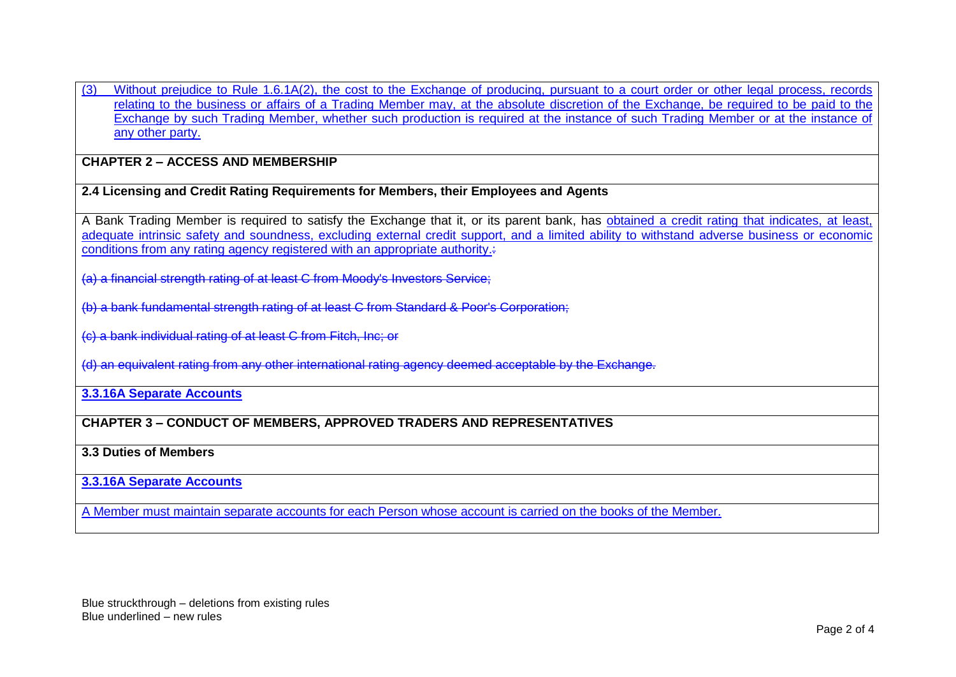(3) Without prejudice to Rule 1.6.1A(2), the cost to the Exchange of producing, pursuant to a court order or other legal process, records relating to the business or affairs of a Trading Member may, at the absolute discretion of the Exchange, be required to be paid to the Exchange by such Trading Member, whether such production is required at the instance of such Trading Member or at the instance of any other party.

# **CHAPTER 2 – ACCESS AND MEMBERSHIP**

### **2.4 Licensing and Credit Rating Requirements for Members, their Employees and Agents**

A Bank Trading Member is required to satisfy the Exchange that it, or its parent bank, has obtained a credit rating that indicates, at least, adequate intrinsic safety and soundness, excluding external credit support, and a limited ability to withstand adverse business or economic conditions from any rating agency registered with an appropriate authority.:

(a) a financial strength rating of at least C from Moody's Investors Service;

(b) a bank fundamental strength rating of at least C from Standard & Poor's Corporation;

(c) a bank individual rating of at least C from Fitch, Inc; or

(d) an equivalent rating from any other international rating agency deemed acceptable by the Exchange.

#### **3.3.16A Separate Accounts**

### **CHAPTER 3 – CONDUCT OF MEMBERS, APPROVED TRADERS AND REPRESENTATIVES**

### **3.3 Duties of Members**

### **3.3.16A Separate Accounts**

A Member must maintain separate accounts for each Person whose account is carried on the books of the Member.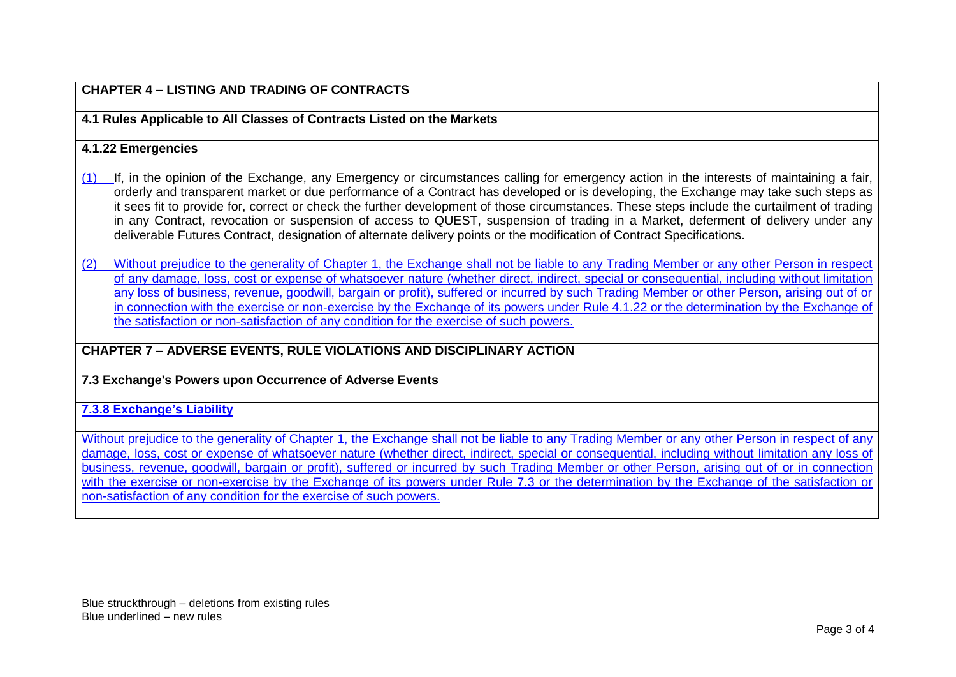## **CHAPTER 4 – LISTING AND TRADING OF CONTRACTS**

**4.1 Rules Applicable to All Classes of Contracts Listed on the Markets**

### **4.1.22 Emergencies**

- (1) If, in the opinion of the Exchange, any Emergency or circumstances calling for emergency action in the interests of maintaining a fair, orderly and transparent market or due performance of a Contract has developed or is developing, the Exchange may take such steps as it sees fit to provide for, correct or check the further development of those circumstances. These steps include the curtailment of trading in any Contract, revocation or suspension of access to QUEST, suspension of trading in a Market, deferment of delivery under any deliverable Futures Contract, designation of alternate delivery points or the modification of Contract Specifications.
- (2) Without prejudice to the generality of Chapter 1, the Exchange shall not be liable to any Trading Member or any other Person in respect of any damage, loss, cost or expense of whatsoever nature (whether direct, indirect, special or consequential, including without limitation any loss of business, revenue, goodwill, bargain or profit), suffered or incurred by such Trading Member or other Person, arising out of or in connection with the exercise or non-exercise by the Exchange of its powers under Rule 4.1.22 or the determination by the Exchange of the satisfaction or non-satisfaction of any condition for the exercise of such powers.

## **CHAPTER 7 – ADVERSE EVENTS, RULE VIOLATIONS AND DISCIPLINARY ACTION**

### **7.3 Exchange's Powers upon Occurrence of Adverse Events**

#### **7.3.8 Exchange's Liability**

Without prejudice to the generality of Chapter 1, the Exchange shall not be liable to any Trading Member or any other Person in respect of any damage, loss, cost or expense of whatsoever nature (whether direct, indirect, special or consequential, including without limitation any loss of business, revenue, goodwill, bargain or profit), suffered or incurred by such Trading Member or other Person, arising out of or in connection with the exercise or non-exercise by the Exchange of its powers under Rule 7.3 or the determination by the Exchange of the satisfaction or non-satisfaction of any condition for the exercise of such powers.